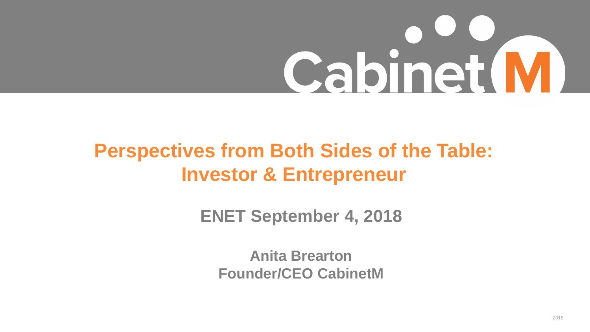# Cabinet M

## **Perspectives from Both Sides of the Table: Investor & Entrepreneur**

**ENET September 4, 2018**

**Anita Brearton Founder/CEO CabinetM**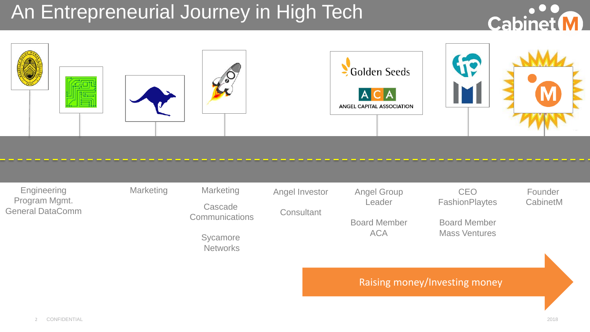## An Entrepreneurial Journey in High Tech





| Engineering<br>Program Mgmt.<br><b>General DataComm</b> | <b>Marketing</b> | <b>Marketing</b><br>Cascade<br><b>Communications</b><br>Sycamore<br><b>Networks</b> | Angel Investor<br>Consultant | <b>Angel Group</b><br>Leader<br><b>Board Member</b><br><b>ACA</b> | <b>CEO</b><br><b>FashionPlaytes</b><br><b>Board Member</b><br><b>Mass Ventures</b> | Founder<br>CabinetM |
|---------------------------------------------------------|------------------|-------------------------------------------------------------------------------------|------------------------------|-------------------------------------------------------------------|------------------------------------------------------------------------------------|---------------------|
|                                                         |                  |                                                                                     |                              | <b>Raising money/Investing money</b>                              |                                                                                    |                     |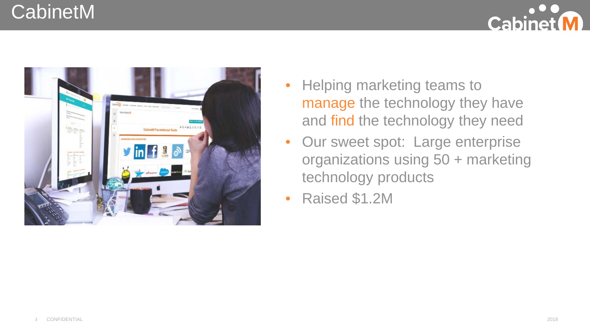#### CabinetM





- Helping marketing teams to manage the technology they have and find the technology they need
- Our sweet spot: Large enterprise organizations using 50 + marketing technology products
- Raised \$1.2M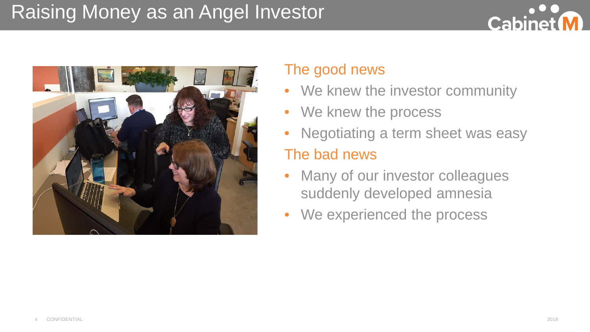### Raising Money as an Angel Investor





#### The good news

- We knew the investor community
- We knew the process
- Negotiating a term sheet was easy

#### The bad news

- Many of our investor colleagues suddenly developed amnesia
- We experienced the process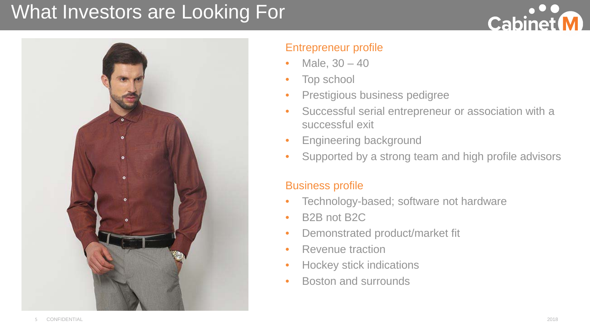### What Investors are Looking For





#### Entrepreneur profile

- Male,  $30 40$
- Top school
- Prestigious business pedigree
- Successful serial entrepreneur or association with a successful exit
- Engineering background
- Supported by a strong team and high profile advisors

#### Business profile

- Technology-based; software not hardware
- B2B not B2C
- Demonstrated product/market fit
- Revenue traction
- Hockey stick indications
- Boston and surrounds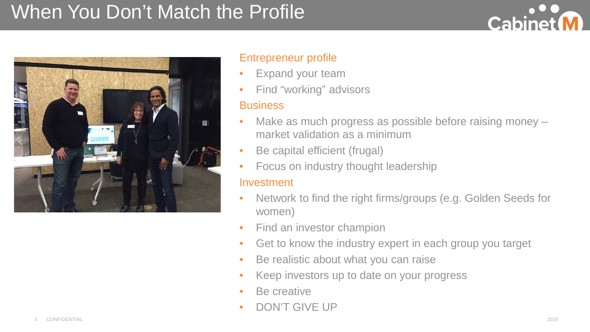## When You Don't Match the Profile





#### Entrepreneur profile

- Expand your team
- Find "working" advisors

#### **Business**

- Make as much progress as possible before raising money market validation as a minimum
- Be capital efficient (frugal)
- Focus on industry thought leadership

#### Investment

- Network to find the right firms/groups (e.g. Golden Seeds for women)
- Find an investor champion
- Get to know the industry expert in each group you target
- Be realistic about what you can raise
- Keep investors up to date on your progress
- Be creative
- DON'T GIVE UP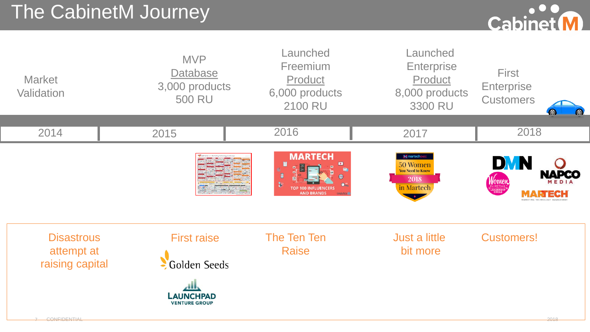## The CabinetM Journey



| <b>Market</b><br>Validation                        | <b>MVP</b><br><b>Database</b><br>3,000 products<br><b>500 RU</b>               | Launched<br>Freemium<br>Product<br>6,000 products<br><b>2100 RU</b> | Launched<br><b>Enterprise</b><br>Product<br>8,000 products<br>3300 RU    | <b>First</b><br>Enterprise<br><b>Customers</b> |
|----------------------------------------------------|--------------------------------------------------------------------------------|---------------------------------------------------------------------|--------------------------------------------------------------------------|------------------------------------------------|
| 2014                                               | 2015                                                                           | 2016                                                                | 2017                                                                     | 2018                                           |
|                                                    |                                                                                | <b>MARTECH</b><br>₿<br><b>AND BRANDS</b>                            | M martechex<br>50 Women<br><b>You Need to Know</b><br>2018<br>in Martech | DVN<br>NAPCO<br>Women<br>MARTECH               |
| <b>Disastrous</b><br>attempt at<br>raising capital | <b>First raise</b><br>Golden Seeds<br><b>LAUNCHPAD</b><br><b>VENTURE GROUP</b> | The Ten Ten<br><b>Raise</b>                                         | Just a little<br>bit more                                                | <b>Customers!</b>                              |

7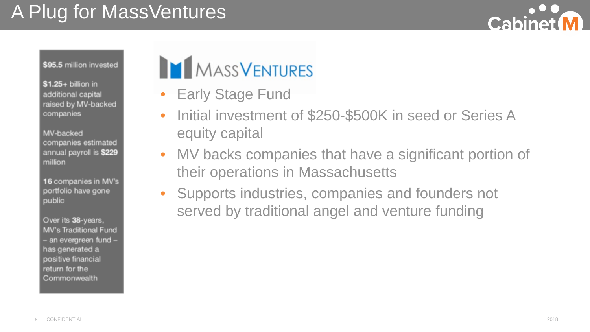## A Plug for MassVentures



\$95.5 million invested

 $$1.25+$  billion in additional capital raised by MV-backed companies

MV-backed companies estimated annual payroll is \$229 million

16 companies in MV's portfolio have gone public

Over its 38-years, **MV's Traditional Fund** - an evergreen fund has generated a positive financial return for the Commonwealth

## **MASSVENTURES**

- **Early Stage Fund**
- Initial investment of \$250-\$500K in seed or Series A equity capital
- MV backs companies that have a significant portion of their operations in Massachusetts
- Supports industries, companies and founders not served by traditional angel and venture funding